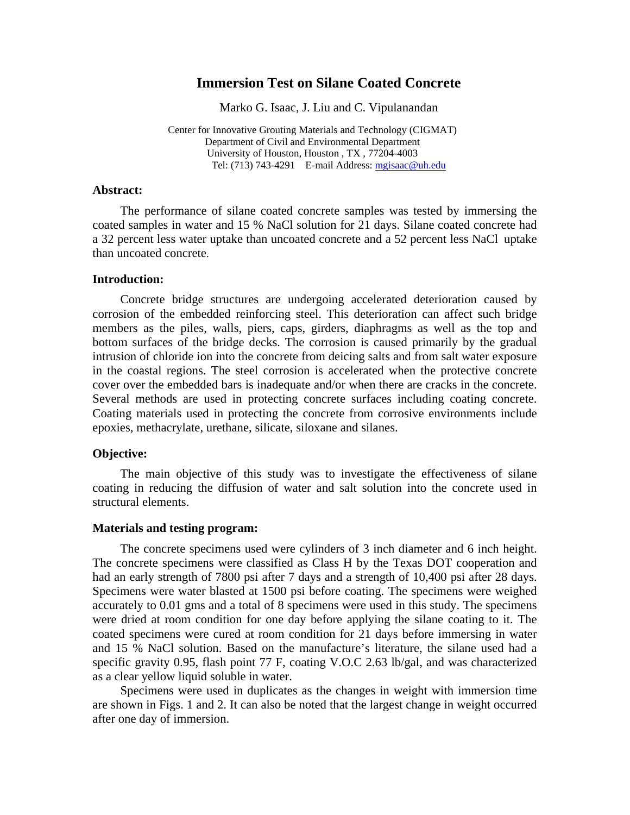# **Immersion Test on Silane Coated Concrete**

Marko G. Isaac, J. Liu and C. Vipulanandan

Center for Innovative Grouting Materials and Technology (CIGMAT) Department of Civil and Environmental Department University of Houston, Houston , TX , 77204-4003 Tel: (713) 743-4291 E-mail Address: mgisaac@uh.edu

#### **Abstract:**

The performance of silane coated concrete samples was tested by immersing the coated samples in water and 15 % NaCl solution for 21 days. Silane coated concrete had a 32 percent less water uptake than uncoated concrete and a 52 percent less NaCl uptake than uncoated concrete.

## **Introduction:**

Concrete bridge structures are undergoing accelerated deterioration caused by corrosion of the embedded reinforcing steel. This deterioration can affect such bridge members as the piles, walls, piers, caps, girders, diaphragms as well as the top and bottom surfaces of the bridge decks. The corrosion is caused primarily by the gradual intrusion of chloride ion into the concrete from deicing salts and from salt water exposure in the coastal regions. The steel corrosion is accelerated when the protective concrete cover over the embedded bars is inadequate and/or when there are cracks in the concrete. Several methods are used in protecting concrete surfaces including coating concrete. Coating materials used in protecting the concrete from corrosive environments include epoxies, methacrylate, urethane, silicate, siloxane and silanes.

## **Objective:**

The main objective of this study was to investigate the effectiveness of silane coating in reducing the diffusion of water and salt solution into the concrete used in structural elements.

### **Materials and testing program:**

The concrete specimens used were cylinders of 3 inch diameter and 6 inch height. The concrete specimens were classified as Class H by the Texas DOT cooperation and had an early strength of 7800 psi after 7 days and a strength of 10,400 psi after 28 days. Specimens were water blasted at 1500 psi before coating. The specimens were weighed accurately to 0.01 gms and a total of 8 specimens were used in this study. The specimens were dried at room condition for one day before applying the silane coating to it. The coated specimens were cured at room condition for 21 days before immersing in water and 15 % NaCl solution. Based on the manufacture's literature, the silane used had a specific gravity 0.95, flash point 77 F, coating V.O.C 2.63 lb/gal, and was characterized as a clear yellow liquid soluble in water.

Specimens were used in duplicates as the changes in weight with immersion time are shown in Figs. 1 and 2. It can also be noted that the largest change in weight occurred after one day of immersion.